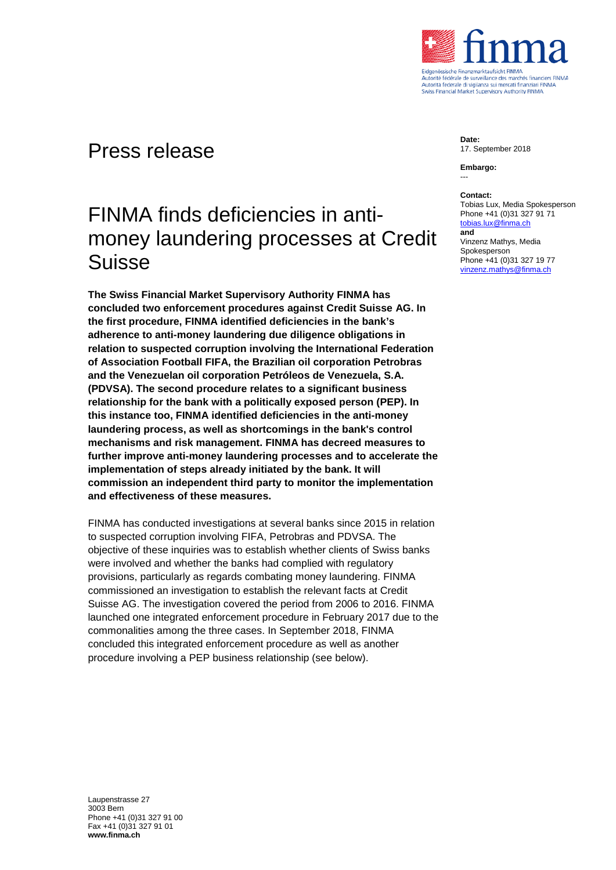

## Press release

# FINMA finds deficiencies in antimoney laundering processes at Credit Suisse

**The Swiss Financial Market Supervisory Authority FINMA has concluded two enforcement procedures against Credit Suisse AG. In the first procedure, FINMA identified deficiencies in the bank's adherence to anti-money laundering due diligence obligations in relation to suspected corruption involving the International Federation of Association Football FIFA, the Brazilian oil corporation Petrobras and the Venezuelan oil corporation Petróleos de Venezuela, S.A. (PDVSA). The second procedure relates to a significant business relationship for the bank with a politically exposed person (PEP). In this instance too, FINMA identified deficiencies in the anti-money laundering process, as well as shortcomings in the bank's control mechanisms and risk management. FINMA has decreed measures to further improve anti-money laundering processes and to accelerate the implementation of steps already initiated by the bank. It will commission an independent third party to monitor the implementation and effectiveness of these measures.**

FINMA has conducted investigations at several banks since 2015 in relation to suspected corruption involving FIFA, Petrobras and PDVSA. The objective of these inquiries was to establish whether clients of Swiss banks were involved and whether the banks had complied with regulatory provisions, particularly as regards combating money laundering. FINMA commissioned an investigation to establish the relevant facts at Credit Suisse AG. The investigation covered the period from 2006 to 2016. FINMA launched one integrated enforcement procedure in February 2017 due to the commonalities among the three cases. In September 2018, FINMA concluded this integrated enforcement procedure as well as another procedure involving a PEP business relationship (see below).

**Date:** 17. September 2018

**Embargo:** ---

#### **Contact:**

Tobias Lux, Media Spokesperson Phone +41 (0)31 327 91 71 [tobias.lux@finma.ch](mailto:tobias.lux@finma.ch) **and** Vinzenz Mathys, Media Spokesperson Phone +41 (0)31 327 19 77 [vinzenz.mathys@finma.ch](mailto:vinzenz.mathys@finma.ch)

Laupenstrasse 27 3003 Bern Phone +41 (0)31 327 91 00 Fax +41 (0)31 327 91 01 **www.finma.ch**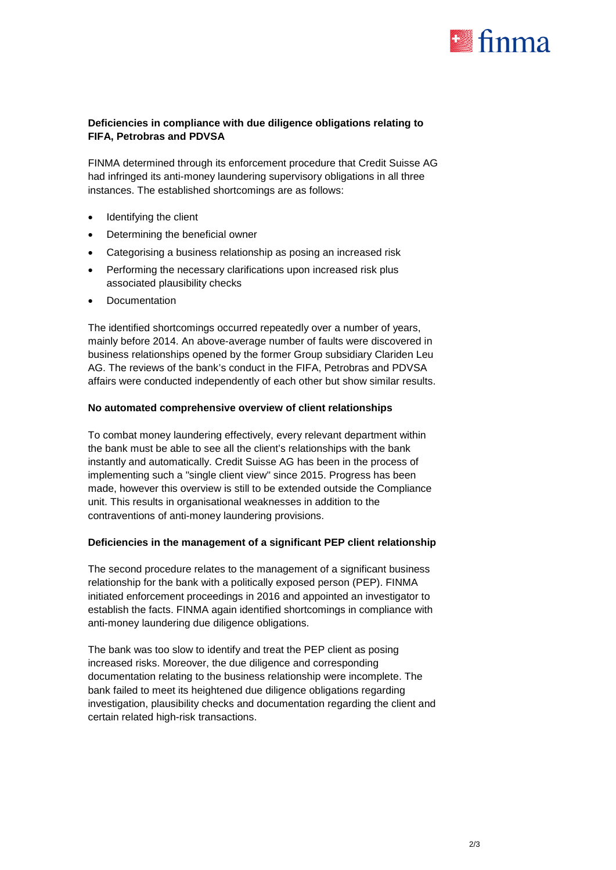

### **Deficiencies in compliance with due diligence obligations relating to FIFA, Petrobras and PDVSA**

FINMA determined through its enforcement procedure that Credit Suisse AG had infringed its anti-money laundering supervisory obligations in all three instances. The established shortcomings are as follows:

- Identifying the client
- Determining the beneficial owner
- Categorising a business relationship as posing an increased risk
- Performing the necessary clarifications upon increased risk plus associated plausibility checks
- **Documentation**

The identified shortcomings occurred repeatedly over a number of years, mainly before 2014. An above-average number of faults were discovered in business relationships opened by the former Group subsidiary Clariden Leu AG. The reviews of the bank's conduct in the FIFA, Petrobras and PDVSA affairs were conducted independently of each other but show similar results.

#### **No automated comprehensive overview of client relationships**

To combat money laundering effectively, every relevant department within the bank must be able to see all the client's relationships with the bank instantly and automatically. Credit Suisse AG has been in the process of implementing such a "single client view" since 2015. Progress has been made, however this overview is still to be extended outside the Compliance unit. This results in organisational weaknesses in addition to the contraventions of anti-money laundering provisions.

#### **Deficiencies in the management of a significant PEP client relationship**

The second procedure relates to the management of a significant business relationship for the bank with a politically exposed person (PEP). FINMA initiated enforcement proceedings in 2016 and appointed an investigator to establish the facts. FINMA again identified shortcomings in compliance with anti-money laundering due diligence obligations.

The bank was too slow to identify and treat the PEP client as posing increased risks. Moreover, the due diligence and corresponding documentation relating to the business relationship were incomplete. The bank failed to meet its heightened due diligence obligations regarding investigation, plausibility checks and documentation regarding the client and certain related high-risk transactions.